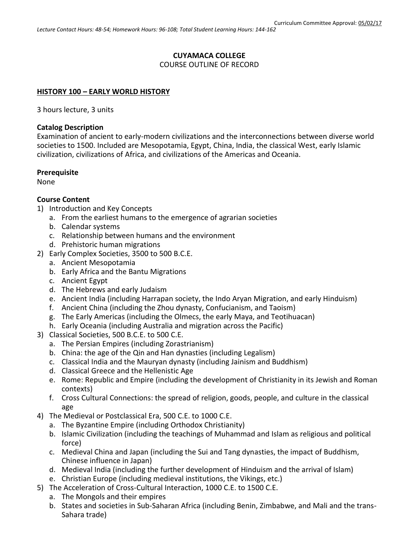# **CUYAMACA COLLEGE**

COURSE OUTLINE OF RECORD

#### **HISTORY 100 – EARLY WORLD HISTORY**

3 hours lecture, 3 units

#### **Catalog Description**

Examination of ancient to early-modern civilizations and the interconnections between diverse world societies to 1500. Included are Mesopotamia, Egypt, China, India, the classical West, early Islamic civilization, civilizations of Africa, and civilizations of the Americas and Oceania.

#### **Prerequisite**

None

#### **Course Content**

- 1) Introduction and Key Concepts
	- a. From the earliest humans to the emergence of agrarian societies
	- b. Calendar systems
	- c. Relationship between humans and the environment
	- d. Prehistoric human migrations
- 2) Early Complex Societies, 3500 to 500 B.C.E.
	- a. Ancient Mesopotamia
	- b. Early Africa and the Bantu Migrations
	- c. Ancient Egypt
	- d. The Hebrews and early Judaism
	- e. Ancient India (including Harrapan society, the Indo Aryan Migration, and early Hinduism)
	- f. Ancient China (including the Zhou dynasty, Confucianism, and Taoism)
	- g. The Early Americas (including the Olmecs, the early Maya, and Teotihuacan)
	- h. Early Oceania (including Australia and migration across the Pacific)
- 3) Classical Societies, 500 B.C.E. to 500 C.E.
	- a. The Persian Empires (including Zorastrianism)
	- b. China: the age of the Qin and Han dynasties (including Legalism)
	- c. Classical India and the Mauryan dynasty (including Jainism and Buddhism)
	- d. Classical Greece and the Hellenistic Age
	- e. Rome: Republic and Empire (including the development of Christianity in its Jewish and Roman contexts)
	- f. Cross Cultural Connections: the spread of religion, goods, people, and culture in the classical age
- 4) The Medieval or Postclassical Era, 500 C.E. to 1000 C.E.
	- a. The Byzantine Empire (including Orthodox Christianity)
	- b. Islamic Civilization (including the teachings of Muhammad and Islam as religious and political force)
	- c. Medieval China and Japan (including the Sui and Tang dynasties, the impact of Buddhism, Chinese influence in Japan)
	- d. Medieval India (including the further development of Hinduism and the arrival of Islam)
	- e. Christian Europe (including medieval institutions, the Vikings, etc.)
- 5) The Acceleration of Cross-Cultural Interaction, 1000 C.E. to 1500 C.E.
	- a. The Mongols and their empires
	- b. States and societies in Sub-Saharan Africa (including Benin, Zimbabwe, and Mali and the trans-Sahara trade)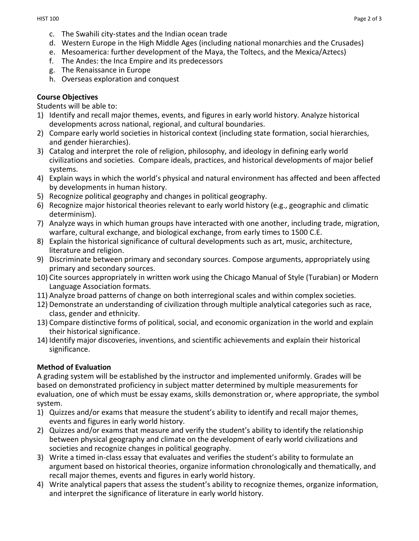- c. The Swahili city-states and the Indian ocean trade
- d. Western Europe in the High Middle Ages (including national monarchies and the Crusades)
- e. Mesoamerica: further development of the Maya, the Toltecs, and the Mexica/Aztecs)
- f. The Andes: the Inca Empire and its predecessors
- g. The Renaissance in Europe
- h. Overseas exploration and conquest

# **Course Objectives**

Students will be able to:

- 1) Identify and recall major themes, events, and figures in early world history. Analyze historical developments across national, regional, and cultural boundaries.
- 2) Compare early world societies in historical context (including state formation, social hierarchies, and gender hierarchies).
- 3) Catalog and interpret the role of religion, philosophy, and ideology in defining early world civilizations and societies. Compare ideals, practices, and historical developments of major belief systems.
- 4) Explain ways in which the world's physical and natural environment has affected and been affected by developments in human history.
- 5) Recognize political geography and changes in political geography.
- 6) Recognize major historical theories relevant to early world history (e.g., geographic and climatic determinism).
- 7) Analyze ways in which human groups have interacted with one another, including trade, migration, warfare, cultural exchange, and biological exchange, from early times to 1500 C.E.
- 8) Explain the historical significance of cultural developments such as art, music, architecture, literature and religion.
- 9) Discriminate between primary and secondary sources. Compose arguments, appropriately using primary and secondary sources.
- 10) Cite sources appropriately in written work using the Chicago Manual of Style (Turabian) or Modern Language Association formats.
- 11) Analyze broad patterns of change on both interregional scales and within complex societies.
- 12) Demonstrate an understanding of civilization through multiple analytical categories such as race, class, gender and ethnicity.
- 13) Compare distinctive forms of political, social, and economic organization in the world and explain their historical significance.
- 14) Identify major discoveries, inventions, and scientific achievements and explain their historical significance.

# **Method of Evaluation**

A grading system will be established by the instructor and implemented uniformly. Grades will be based on demonstrated proficiency in subject matter determined by multiple measurements for evaluation, one of which must be essay exams, skills demonstration or, where appropriate, the symbol system.

- 1) Quizzes and/or exams that measure the student's ability to identify and recall major themes, events and figures in early world history.
- 2) Quizzes and/or exams that measure and verify the student's ability to identify the relationship between physical geography and climate on the development of early world civilizations and societies and recognize changes in political geography.
- 3) Write a timed in-class essay that evaluates and verifies the student's ability to formulate an argument based on historical theories, organize information chronologically and thematically, and recall major themes, events and figures in early world history.
- 4) Write analytical papers that assess the student's ability to recognize themes, organize information, and interpret the significance of literature in early world history.